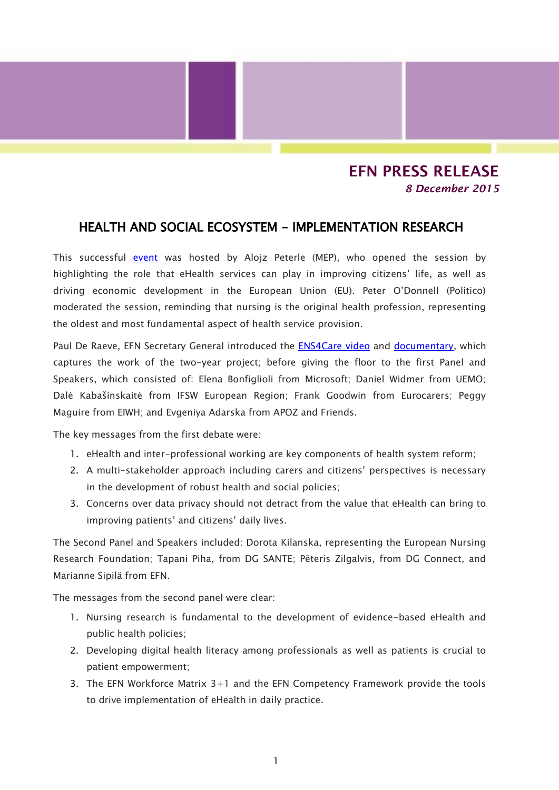## **EFN PRESS RELEASE** *8 December 2015*

## HEALTH AND SOCIAL ECOSYSTEM - IMPLEMENTATION RESEARCH

This successful [event](http://www.knowledge4innovation.eu/ehealth-services-nursing-social-care-ecosystem-0?width=600&height=600) was hosted by Alojz Peterle (MEP), who opened the session by highlighting the role that eHealth services can play in improving citizens' life, as well as driving economic development in the European Union (EU). Peter O'Donnell (Politico) moderated the session, reminding that nursing is the original health profession, representing the oldest and most fundamental aspect of health service provision.

Paul De Raeve, EFN Secretary General introduced the [ENS4Care video](https://youtu.be/_i5yfhLeRoI) and [documentary,](https://youtu.be/bRGqIhQ-5B4) which captures the work of the two-year project; before giving the floor to the first Panel and Speakers, which consisted of: Elena Bonfiglioli from Microsoft; Daniel Widmer from UEMO; Dalė Kabašinskaitė from IFSW European Region; Frank Goodwin from Eurocarers; Peggy Maguire from EIWH; and Evgeniya Adarska from APOZ and Friends.

The key messages from the first debate were:

- 1. eHealth and inter-professional working are key components of health system reform;
- 2. A multi-stakeholder approach including carers and citizens' perspectives is necessary in the development of robust health and social policies;
- 3. Concerns over data privacy should not detract from the value that eHealth can bring to improving patients' and citizens' daily lives.

The Second Panel and Speakers included: Dorota Kilanska, representing the European Nursing Research Foundation; Tapani Piha, from DG SANTE; Pēteris Zilgalvis, from DG Connect, and Marianne Sipilä from EFN.

The messages from the second panel were clear:

- 1. Nursing research is fundamental to the development of evidence-based eHealth and public health policies;
- 2. Developing digital health literacy among professionals as well as patients is crucial to patient empowerment;
- 3. The EFN Workforce Matrix 3+1 and the EFN Competency Framework provide the tools to drive implementation of eHealth in daily practice.